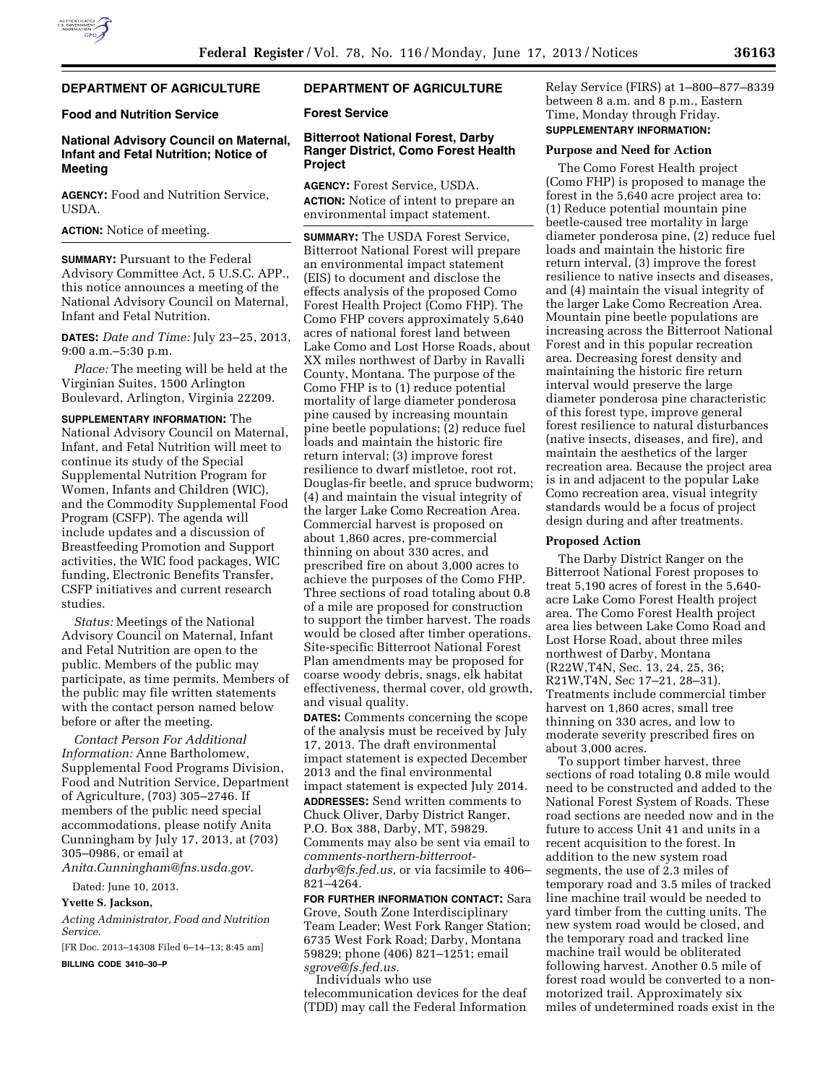## **DEPARTMENT OF AGRICULTURE**

## **Food and Nutrition Service**

# **National Advisory Council on Maternal, Infant and Fetal Nutrition; Notice of Meeting**

**AGENCY:** Food and Nutrition Service, USDA.

#### **ACTION:** Notice of meeting.

**SUMMARY:** Pursuant to the Federal Advisory Committee Act, 5 U.S.C. APP., this notice announces a meeting of the National Advisory Council on Maternal, Infant and Fetal Nutrition.

**DATES:** *Date and Time:* July 23–25, 2013, 9:00 a.m.–5:30 p.m.

*Place:* The meeting will be held at the Virginian Suites, 1500 Arlington Boulevard, Arlington, Virginia 22209.

**SUPPLEMENTARY INFORMATION:** The National Advisory Council on Maternal, Infant, and Fetal Nutrition will meet to continue its study of the Special Supplemental Nutrition Program for Women, Infants and Children (WIC), and the Commodity Supplemental Food Program (CSFP). The agenda will include updates and a discussion of Breastfeeding Promotion and Support activities, the WIC food packages, WIC funding, Electronic Benefits Transfer, CSFP initiatives and current research studies.

*Status:* Meetings of the National Advisory Council on Maternal, Infant and Fetal Nutrition are open to the public. Members of the public may participate, as time permits. Members of the public may file written statements with the contact person named below before or after the meeting.

*Contact Person For Additional Information:* Anne Bartholomew, Supplemental Food Programs Division, Food and Nutrition Service, Department of Agriculture, (703) 305–2746. If members of the public need special accommodations, please notify Anita Cunningham by July 17, 2013, at (703) 305–0986, or email at *[Anita.Cunningham@fns.usda.gov](mailto:Anita.Cunningham@fns.usda.gov)*.

Dated: June 10, 2013.

# **Yvette S. Jackson,**

*Acting Administrator, Food and Nutrition Service.* 

[FR Doc. 2013–14308 Filed 6–14–13; 8:45 am]

**BILLING CODE 3410–30–P** 

## **DEPARTMENT OF AGRICULTURE**

### **Forest Service**

## **Bitterroot National Forest, Darby Ranger District, Como Forest Health Project**

**AGENCY:** Forest Service, USDA. **ACTION:** Notice of intent to prepare an environmental impact statement.

**SUMMARY:** The USDA Forest Service, Bitterroot National Forest will prepare an environmental impact statement (EIS) to document and disclose the effects analysis of the proposed Como Forest Health Project (Como FHP). The Como FHP covers approximately 5,640 acres of national forest land between Lake Como and Lost Horse Roads, about XX miles northwest of Darby in Ravalli County, Montana. The purpose of the Como FHP is to (1) reduce potential mortality of large diameter ponderosa pine caused by increasing mountain pine beetle populations; (2) reduce fuel loads and maintain the historic fire return interval; (3) improve forest resilience to dwarf mistletoe, root rot, Douglas-fir beetle, and spruce budworm; (4) and maintain the visual integrity of the larger Lake Como Recreation Area. Commercial harvest is proposed on about 1,860 acres, pre-commercial thinning on about 330 acres, and prescribed fire on about 3,000 acres to achieve the purposes of the Como FHP. Three sections of road totaling about 0.8 of a mile are proposed for construction to support the timber harvest. The roads would be closed after timber operations. Site-specific Bitterroot National Forest Plan amendments may be proposed for coarse woody debris, snags, elk habitat effectiveness, thermal cover, old growth, and visual quality.

**DATES:** Comments concerning the scope of the analysis must be received by July 17, 2013. The draft environmental impact statement is expected December 2013 and the final environmental impact statement is expected July 2014. **ADDRESSES:** Send written comments to Chuck Oliver, Darby District Ranger, P.O. Box 388, Darby, MT, 59829. Comments may also be sent via email to *[comments-northern-bitterroot](mailto:comments-northern-bitterroot-darby@fs.fed.us)[darby@fs.fed.us,](mailto:comments-northern-bitterroot-darby@fs.fed.us)* or via facsimile to 406– 821–4264.

**FOR FURTHER INFORMATION CONTACT:** Sara Grove, South Zone Interdisciplinary Team Leader; West Fork Ranger Station; 6735 West Fork Road; Darby, Montana 59829; phone (406) 821–1251; email *[sgrove@fs.fed.us.](mailto:sgrove@fs.fed.us)* 

Individuals who use telecommunication devices for the deaf (TDD) may call the Federal Information Relay Service (FIRS) at 1–800–877–8339 between 8 a.m. and 8 p.m., Eastern Time, Monday through Friday. **SUPPLEMENTARY INFORMATION:** 

#### **Purpose and Need for Action**

The Como Forest Health project (Como FHP) is proposed to manage the forest in the 5,640 acre project area to: (1) Reduce potential mountain pine beetle-caused tree mortality in large diameter ponderosa pine, (2) reduce fuel loads and maintain the historic fire return interval, (3) improve the forest resilience to native insects and diseases, and (4) maintain the visual integrity of the larger Lake Como Recreation Area. Mountain pine beetle populations are increasing across the Bitterroot National Forest and in this popular recreation area. Decreasing forest density and maintaining the historic fire return interval would preserve the large diameter ponderosa pine characteristic of this forest type, improve general forest resilience to natural disturbances (native insects, diseases, and fire), and maintain the aesthetics of the larger recreation area. Because the project area is in and adjacent to the popular Lake Como recreation area, visual integrity standards would be a focus of project design during and after treatments.

#### **Proposed Action**

The Darby District Ranger on the Bitterroot National Forest proposes to treat 5,190 acres of forest in the 5,640 acre Lake Como Forest Health project area. The Como Forest Health project area lies between Lake Como Road and Lost Horse Road, about three miles northwest of Darby, Montana (R22W,T4N, Sec. 13, 24, 25, 36; R21W,T4N, Sec 17–21, 28–31). Treatments include commercial timber harvest on 1,860 acres, small tree thinning on 330 acres, and low to moderate severity prescribed fires on about 3,000 acres.

To support timber harvest, three sections of road totaling 0.8 mile would need to be constructed and added to the National Forest System of Roads. These road sections are needed now and in the future to access Unit 41 and units in a recent acquisition to the forest. In addition to the new system road segments, the use of 2.3 miles of temporary road and 3.5 miles of tracked line machine trail would be needed to yard timber from the cutting units. The new system road would be closed, and the temporary road and tracked line machine trail would be obliterated following harvest. Another 0.5 mile of forest road would be converted to a nonmotorized trail. Approximately six miles of undetermined roads exist in the